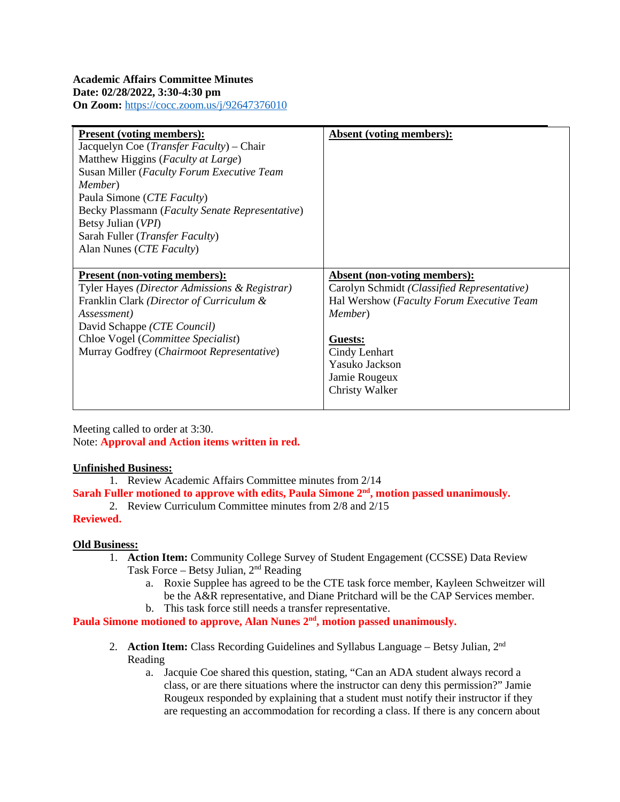**On Zoom:** <https://cocc.zoom.us/j/92647376010>

| <b>Present (voting members):</b>                  | <b>Absent (voting members):</b>             |
|---------------------------------------------------|---------------------------------------------|
| Jacquelyn Coe ( <i>Transfer Faculty</i> ) – Chair |                                             |
| Matthew Higgins (Faculty at Large)                |                                             |
| Susan Miller (Faculty Forum Executive Team        |                                             |
| Member)                                           |                                             |
| Paula Simone ( <i>CTE Faculty</i> )               |                                             |
| Becky Plassmann (Faculty Senate Representative)   |                                             |
| Betsy Julian (VPI)                                |                                             |
| Sarah Fuller (Transfer Faculty)                   |                                             |
| Alan Nunes ( <i>CTE Faculty</i> )                 |                                             |
|                                                   |                                             |
| <b>Present (non-voting members):</b>              | Absent (non-voting members):                |
| Tyler Hayes (Director Admissions & Registrar)     | Carolyn Schmidt (Classified Representative) |
| Franklin Clark (Director of Curriculum &          | Hal Wershow (Faculty Forum Executive Team   |
| <i>Assessment</i> )                               | Member)                                     |
| David Schappe (CTE Council)                       |                                             |
| Chloe Vogel (Committee Specialist)                | Guests:                                     |
| Murray Godfrey (Chairmoot Representative)         | Cindy Lenhart                               |
|                                                   | Yasuko Jackson                              |
|                                                   | Jamie Rougeux                               |
|                                                   | Christy Walker                              |
|                                                   |                                             |

Meeting called to order at 3:30. Note: **Approval and Action items written in red.**

## **Unfinished Business:**

1. Review Academic Affairs Committee minutes from 2/14

Sarah Fuller motioned to approve with edits, Paula Simone 2<sup>nd</sup>, motion passed unanimously.

2. Review Curriculum Committee minutes from 2/8 and 2/15

# **Reviewed.**

## **Old Business:**

- 1. **Action Item:** Community College Survey of Student Engagement (CCSSE) Data Review Task Force – Betsy Julian, 2nd Reading
	- a. Roxie Supplee has agreed to be the CTE task force member, Kayleen Schweitzer will be the A&R representative, and Diane Pritchard will be the CAP Services member.
	- b. This task force still needs a transfer representative.

**Paula Simone motioned to approve, Alan Nunes 2nd, motion passed unanimously.**

- 2. **Action Item:** Class Recording Guidelines and Syllabus Language Betsy Julian, 2nd Reading
	- a. Jacquie Coe shared this question, stating, "Can an ADA student always record a class, or are there situations where the instructor can deny this permission?" Jamie Rougeux responded by explaining that a student must notify their instructor if they are requesting an accommodation for recording a class. If there is any concern about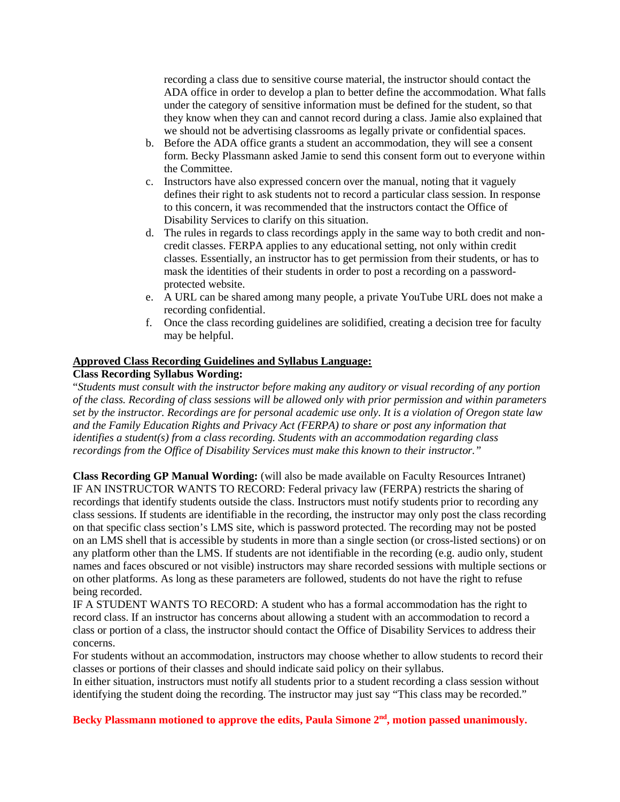recording a class due to sensitive course material, the instructor should contact the ADA office in order to develop a plan to better define the accommodation. What falls under the category of sensitive information must be defined for the student, so that they know when they can and cannot record during a class. Jamie also explained that we should not be advertising classrooms as legally private or confidential spaces.

- b. Before the ADA office grants a student an accommodation, they will see a consent form. Becky Plassmann asked Jamie to send this consent form out to everyone within the Committee.
- c. Instructors have also expressed concern over the manual, noting that it vaguely defines their right to ask students not to record a particular class session. In response to this concern, it was recommended that the instructors contact the Office of Disability Services to clarify on this situation.
- d. The rules in regards to class recordings apply in the same way to both credit and noncredit classes. FERPA applies to any educational setting, not only within credit classes. Essentially, an instructor has to get permission from their students, or has to mask the identities of their students in order to post a recording on a passwordprotected website.
- e. A URL can be shared among many people, a private YouTube URL does not make a recording confidential.
- f. Once the class recording guidelines are solidified, creating a decision tree for faculty may be helpful.

# **Approved Class Recording Guidelines and Syllabus Language:**

## **Class Recording Syllabus Wording:**

"*Students must consult with the instructor before making any auditory or visual recording of any portion of the class. Recording of class sessions will be allowed only with prior permission and within parameters set by the instructor. Recordings are for personal academic use only. It is a violation of Oregon state law and the Family Education Rights and Privacy Act (FERPA) to share or post any information that identifies a student(s) from a class recording. Students with an accommodation regarding class recordings from the Office of Disability Services must make this known to their instructor."* 

**Class Recording GP Manual Wording:** (will also be made available on Faculty Resources Intranet) IF AN INSTRUCTOR WANTS TO RECORD: Federal privacy law (FERPA) restricts the sharing of recordings that identify students outside the class. Instructors must notify students prior to recording any class sessions. If students are identifiable in the recording, the instructor may only post the class recording on that specific class section's LMS site, which is password protected. The recording may not be posted on an LMS shell that is accessible by students in more than a single section (or cross-listed sections) or on any platform other than the LMS. If students are not identifiable in the recording (e.g. audio only, student names and faces obscured or not visible) instructors may share recorded sessions with multiple sections or on other platforms. As long as these parameters are followed, students do not have the right to refuse being recorded.

IF A STUDENT WANTS TO RECORD: A student who has a formal accommodation has the right to record class. If an instructor has concerns about allowing a student with an accommodation to record a class or portion of a class, the instructor should contact the Office of Disability Services to address their concerns.

For students without an accommodation, instructors may choose whether to allow students to record their classes or portions of their classes and should indicate said policy on their syllabus.

In either situation, instructors must notify all students prior to a student recording a class session without identifying the student doing the recording. The instructor may just say "This class may be recorded."

**Becky Plassmann motioned to approve the edits, Paula Simone 2nd, motion passed unanimously.**